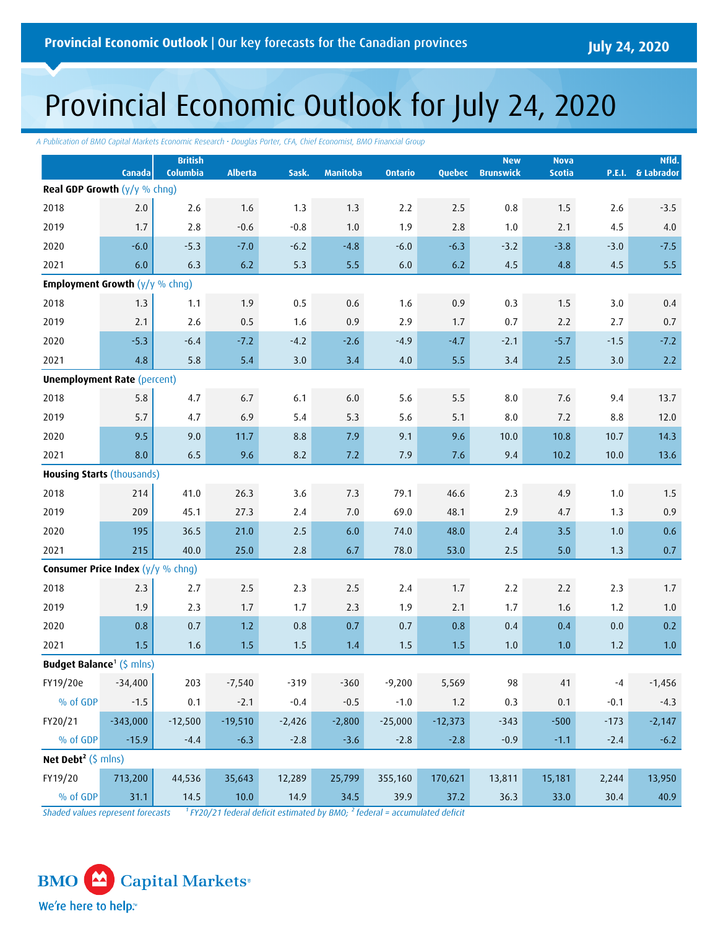# Provincial Economic Outlook for July 24, 2020

*A Publication of BMO Capital Markets Economic Research • Douglas Porter, CFA, Chief Economist, BMO Financial Group*

|                                                       | Canada     | <b>British</b><br>Columbia | <b>Alberta</b> | Sask.    | <b>Manitoba</b> | <b>Ontario</b> | Quebec    | <b>New</b><br><b>Brunswick</b> | <b>Nova</b><br><b>Scotia</b> |        | Nfld.<br>P.E.I. & Labrador |
|-------------------------------------------------------|------------|----------------------------|----------------|----------|-----------------|----------------|-----------|--------------------------------|------------------------------|--------|----------------------------|
| <b>Real GDP Growth</b> $(y/y \%$ chng)                |            |                            |                |          |                 |                |           |                                |                              |        |                            |
| 2018                                                  | 2.0        | 2.6                        | 1.6            | 1.3      | 1.3             | 2.2            | 2.5       | $0.8\,$                        | 1.5                          | $2.6$  | $-3.5$                     |
| 2019                                                  | 1.7        | 2.8                        | $-0.6$         | $-0.8$   | 1.0             | 1.9            | 2.8       | 1.0                            | 2.1                          | 4.5    | $4.0\,$                    |
| 2020                                                  | $-6.0$     | $-5.3$                     | $-7.0$         | $-6.2$   | $-4.8$          | $-6.0$         | $-6.3$    | $-3.2$                         | $-3.8$                       | $-3.0$ | $-7.5$                     |
| 2021                                                  | 6.0        | 6.3                        | 6.2            | 5.3      | 5.5             | 6.0            | 6.2       | 4.5                            | 4.8                          | 4.5    | 5.5                        |
| <b>Employment Growth <math>(y/y \%</math> chng)</b>   |            |                            |                |          |                 |                |           |                                |                              |        |                            |
| 2018                                                  | 1.3        | 1.1                        | 1.9            | 0.5      | 0.6             | 1.6            | 0.9       | 0.3                            | 1.5                          | 3.0    | 0.4                        |
| 2019                                                  | 2.1        | 2.6                        | 0.5            | 1.6      | 0.9             | 2.9            | 1.7       | 0.7                            | 2.2                          | 2.7    | 0.7                        |
| 2020                                                  | $-5.3$     | $-6.4$                     | $-7.2$         | $-4.2$   | $-2.6$          | $-4.9$         | $-4.7$    | $-2.1$                         | $-5.7$                       | $-1.5$ | $-7.2$                     |
| 2021                                                  | 4.8        | 5.8                        | 5.4            | 3.0      | 3.4             | 4.0            | 5.5       | 3.4                            | 2.5                          | 3.0    | 2.2                        |
| <b>Unemployment Rate (percent)</b>                    |            |                            |                |          |                 |                |           |                                |                              |        |                            |
| 2018                                                  | 5.8        | 4.7                        | 6.7            | 6.1      | $6.0\,$         | 5.6            | 5.5       | $8.0\,$                        | 7.6                          | 9.4    | 13.7                       |
| 2019                                                  | 5.7        | 4.7                        | 6.9            | 5.4      | 5.3             | 5.6            | 5.1       | 8.0                            | 7.2                          | 8.8    | 12.0                       |
| 2020                                                  | 9.5        | 9.0                        | 11.7           | 8.8      | 7.9             | 9.1            | 9.6       | 10.0                           | 10.8                         | 10.7   | 14.3                       |
| 2021                                                  | 8.0        | 6.5                        | 9.6            | 8.2      | 7.2             | 7.9            | 7.6       | 9.4                            | 10.2                         | 10.0   | 13.6                       |
| <b>Housing Starts (thousands)</b>                     |            |                            |                |          |                 |                |           |                                |                              |        |                            |
| 2018                                                  | 214        | 41.0                       | 26.3           | 3.6      | 7.3             | 79.1           | 46.6      | 2.3                            | 4.9                          | 1.0    | 1.5                        |
| 2019                                                  | 209        | 45.1                       | 27.3           | 2.4      | $7.0$           | 69.0           | 48.1      | 2.9                            | 4.7                          | 1.3    | 0.9                        |
| 2020                                                  | 195        | 36.5                       | 21.0           | 2.5      | 6.0             | 74.0           | 48.0      | 2.4                            | 3.5                          | $1.0$  | 0.6                        |
| 2021                                                  | 215        | 40.0                       | 25.0           | 2.8      | 6.7             | 78.0           | 53.0      | 2.5                            | 5.0                          | 1.3    | 0.7                        |
| <b>Consumer Price Index (<math>y/y</math></b> % chng) |            |                            |                |          |                 |                |           |                                |                              |        |                            |
| 2018                                                  | 2.3        | 2.7                        | 2.5            | 2.3      | 2.5             | 2.4            | 1.7       | 2.2                            | 2.2                          | 2.3    | 1.7                        |
| 2019                                                  | 1.9        | 2.3                        | 1.7            | 1.7      | 2.3             | 1.9            | 2.1       | 1.7                            | 1.6                          | 1.2    | 1.0                        |
| 2020                                                  | 0.8        | 0.7                        | 1.2            | 0.8      | 0.7             | 0.7            | 0.8       | 0.4                            | 0.4                          | 0.0    | 0.2                        |
| 2021                                                  | 1.5        | 1.6                        | 1.5            | 1.5      | 1.4             | 1.5            | 1.5       | 1.0                            | 1.0                          | 1.2    | $1.0$                      |
| <b>Budget Balance<sup>1</sup></b> (\$ mlns)           |            |                            |                |          |                 |                |           |                                |                              |        |                            |
| FY19/20e                                              | $-34,400$  | 203                        | $-7,540$       | $-319$   | $-360$          | $-9,200$       | 5,569     | 98                             | $41\,$                       | $-4$   | $-1,456$                   |
| % of GDP                                              | $-1.5$     | 0.1                        | $-2.1$         | $-0.4$   | $-0.5$          | $-1.0$         | 1.2       | 0.3                            | 0.1                          | $-0.1$ | $-4.3$                     |
| FY20/21                                               | $-343,000$ | $-12,500$                  | $-19,510$      | $-2,426$ | $-2,800$        | $-25,000$      | $-12,373$ | $-343$                         | $-500$                       | $-173$ | $-2,147$                   |
| % of GDP                                              | $-15.9$    | $-4.4$                     | $-6.3$         | $-2.8$   | $-3.6$          | $-2.8$         | $-2.8$    | $-0.9$                         | $-1.1$                       | $-2.4$ | $-6.2$                     |
| Net Debt <sup>2</sup> ( $\sinh$ mlns)                 |            |                            |                |          |                 |                |           |                                |                              |        |                            |
| FY19/20                                               | 713,200    | 44,536                     | 35,643         | 12,289   | 25,799          | 355,160        | 170,621   | 13,811                         | 15,181                       | 2,244  | 13,950                     |
| % of GDP                                              | 31.1       | 14.5                       | 10.0           | 14.9     | 34.5            | 39.9           | 37.2      | 36.3                           | 33.0                         | 30.4   | 40.9                       |

. *Shaded values represent forecasts ¹ FY20/21 federal deficit estimated by BMO; ² federal = accumulated deficit*